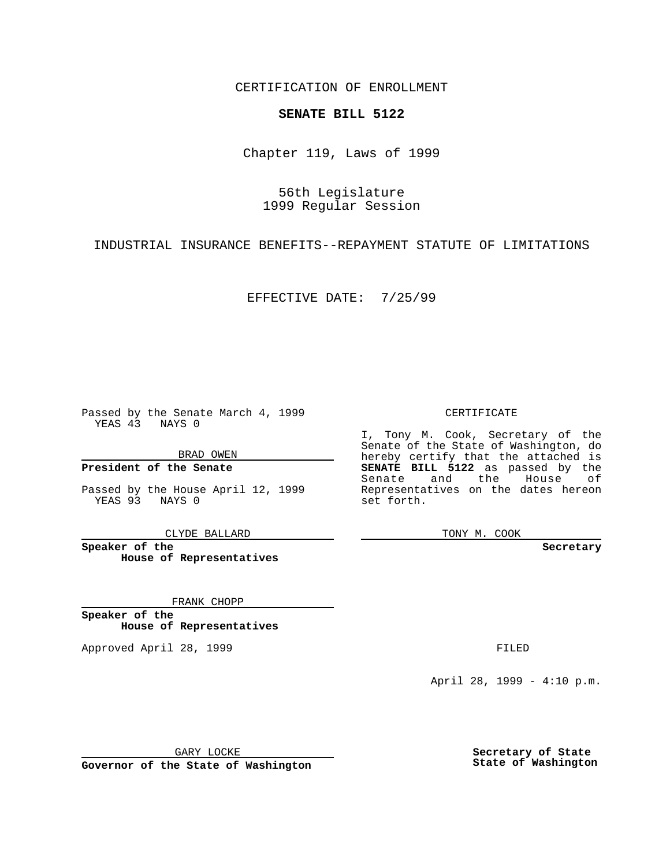CERTIFICATION OF ENROLLMENT

## **SENATE BILL 5122**

Chapter 119, Laws of 1999

56th Legislature 1999 Regular Session

INDUSTRIAL INSURANCE BENEFITS--REPAYMENT STATUTE OF LIMITATIONS

EFFECTIVE DATE: 7/25/99

Passed by the Senate March 4, 1999 YEAS 43 NAYS 0

BRAD OWEN

**President of the Senate**

Passed by the House April 12, 1999 YEAS 93 NAYS 0

CLYDE BALLARD

**Speaker of the House of Representatives**

FRANK CHOPP

**Speaker of the House of Representatives**

Approved April 28, 1999 **FILED** 

## CERTIFICATE

I, Tony M. Cook, Secretary of the Senate of the State of Washington, do hereby certify that the attached is **SENATE BILL 5122** as passed by the Senate and the House of Representatives on the dates hereon set forth.

TONY M. COOK

**Secretary**

April 28, 1999 - 4:10 p.m.

GARY LOCKE

**Governor of the State of Washington**

**Secretary of State State of Washington**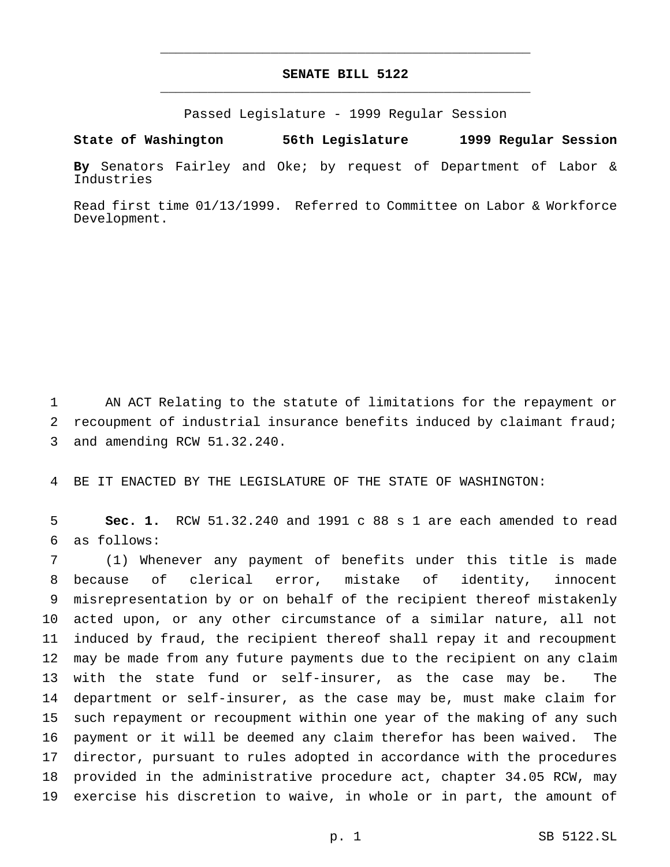## **SENATE BILL 5122** \_\_\_\_\_\_\_\_\_\_\_\_\_\_\_\_\_\_\_\_\_\_\_\_\_\_\_\_\_\_\_\_\_\_\_\_\_\_\_\_\_\_\_\_\_\_\_

\_\_\_\_\_\_\_\_\_\_\_\_\_\_\_\_\_\_\_\_\_\_\_\_\_\_\_\_\_\_\_\_\_\_\_\_\_\_\_\_\_\_\_\_\_\_\_

Passed Legislature - 1999 Regular Session

**State of Washington 56th Legislature 1999 Regular Session**

**By** Senators Fairley and Oke; by request of Department of Labor & Industries

Read first time 01/13/1999. Referred to Committee on Labor & Workforce Development.

 AN ACT Relating to the statute of limitations for the repayment or recoupment of industrial insurance benefits induced by claimant fraud; and amending RCW 51.32.240.

BE IT ENACTED BY THE LEGISLATURE OF THE STATE OF WASHINGTON:

 **Sec. 1.** RCW 51.32.240 and 1991 c 88 s 1 are each amended to read as follows:

 (1) Whenever any payment of benefits under this title is made because of clerical error, mistake of identity, innocent misrepresentation by or on behalf of the recipient thereof mistakenly acted upon, or any other circumstance of a similar nature, all not induced by fraud, the recipient thereof shall repay it and recoupment may be made from any future payments due to the recipient on any claim with the state fund or self-insurer, as the case may be. The department or self-insurer, as the case may be, must make claim for such repayment or recoupment within one year of the making of any such payment or it will be deemed any claim therefor has been waived. The director, pursuant to rules adopted in accordance with the procedures provided in the administrative procedure act, chapter 34.05 RCW, may exercise his discretion to waive, in whole or in part, the amount of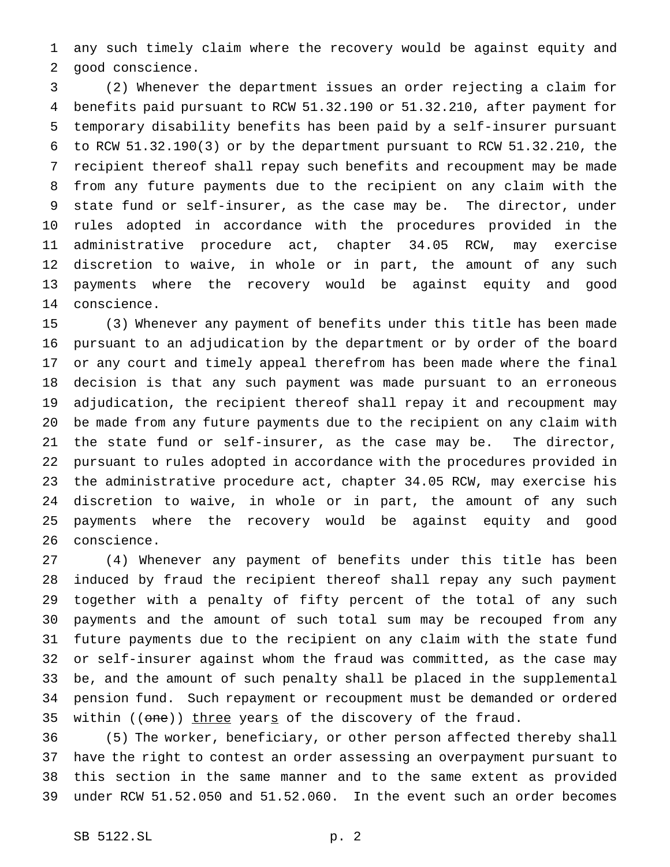any such timely claim where the recovery would be against equity and good conscience.

 (2) Whenever the department issues an order rejecting a claim for benefits paid pursuant to RCW 51.32.190 or 51.32.210, after payment for temporary disability benefits has been paid by a self-insurer pursuant to RCW 51.32.190(3) or by the department pursuant to RCW 51.32.210, the recipient thereof shall repay such benefits and recoupment may be made from any future payments due to the recipient on any claim with the state fund or self-insurer, as the case may be. The director, under rules adopted in accordance with the procedures provided in the administrative procedure act, chapter 34.05 RCW, may exercise discretion to waive, in whole or in part, the amount of any such payments where the recovery would be against equity and good conscience.

 (3) Whenever any payment of benefits under this title has been made pursuant to an adjudication by the department or by order of the board or any court and timely appeal therefrom has been made where the final decision is that any such payment was made pursuant to an erroneous adjudication, the recipient thereof shall repay it and recoupment may be made from any future payments due to the recipient on any claim with the state fund or self-insurer, as the case may be. The director, pursuant to rules adopted in accordance with the procedures provided in the administrative procedure act, chapter 34.05 RCW, may exercise his discretion to waive, in whole or in part, the amount of any such payments where the recovery would be against equity and good conscience.

 (4) Whenever any payment of benefits under this title has been induced by fraud the recipient thereof shall repay any such payment together with a penalty of fifty percent of the total of any such payments and the amount of such total sum may be recouped from any future payments due to the recipient on any claim with the state fund or self-insurer against whom the fraud was committed, as the case may be, and the amount of such penalty shall be placed in the supplemental pension fund. Such repayment or recoupment must be demanded or ordered 35 within ((one)) three years of the discovery of the fraud.

 (5) The worker, beneficiary, or other person affected thereby shall have the right to contest an order assessing an overpayment pursuant to this section in the same manner and to the same extent as provided under RCW 51.52.050 and 51.52.060. In the event such an order becomes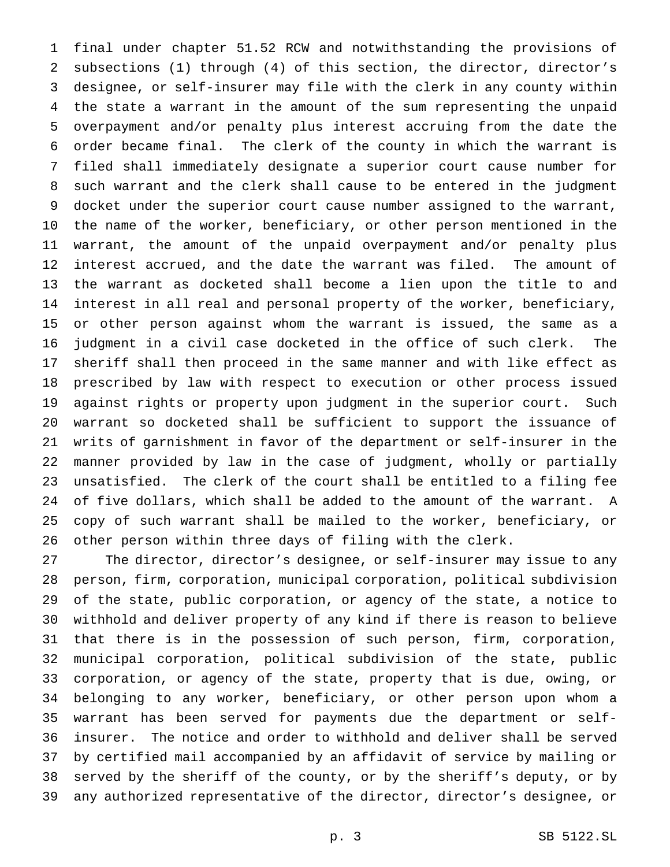final under chapter 51.52 RCW and notwithstanding the provisions of subsections (1) through (4) of this section, the director, director's designee, or self-insurer may file with the clerk in any county within the state a warrant in the amount of the sum representing the unpaid overpayment and/or penalty plus interest accruing from the date the order became final. The clerk of the county in which the warrant is filed shall immediately designate a superior court cause number for such warrant and the clerk shall cause to be entered in the judgment docket under the superior court cause number assigned to the warrant, the name of the worker, beneficiary, or other person mentioned in the warrant, the amount of the unpaid overpayment and/or penalty plus interest accrued, and the date the warrant was filed. The amount of the warrant as docketed shall become a lien upon the title to and interest in all real and personal property of the worker, beneficiary, or other person against whom the warrant is issued, the same as a judgment in a civil case docketed in the office of such clerk. The sheriff shall then proceed in the same manner and with like effect as prescribed by law with respect to execution or other process issued against rights or property upon judgment in the superior court. Such warrant so docketed shall be sufficient to support the issuance of writs of garnishment in favor of the department or self-insurer in the manner provided by law in the case of judgment, wholly or partially unsatisfied. The clerk of the court shall be entitled to a filing fee of five dollars, which shall be added to the amount of the warrant. A copy of such warrant shall be mailed to the worker, beneficiary, or other person within three days of filing with the clerk.

 The director, director's designee, or self-insurer may issue to any person, firm, corporation, municipal corporation, political subdivision of the state, public corporation, or agency of the state, a notice to withhold and deliver property of any kind if there is reason to believe that there is in the possession of such person, firm, corporation, municipal corporation, political subdivision of the state, public corporation, or agency of the state, property that is due, owing, or belonging to any worker, beneficiary, or other person upon whom a warrant has been served for payments due the department or self- insurer. The notice and order to withhold and deliver shall be served by certified mail accompanied by an affidavit of service by mailing or served by the sheriff of the county, or by the sheriff's deputy, or by any authorized representative of the director, director's designee, or